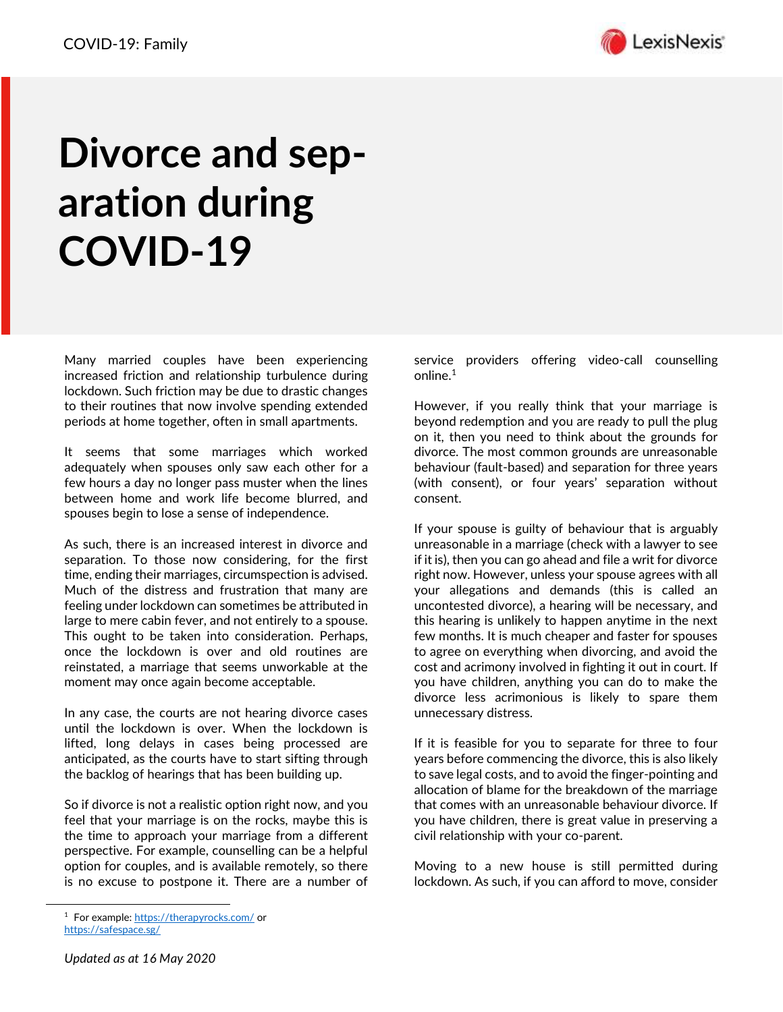

## **Divorce and separation during COVID-19**

Many married couples have been experiencing increased friction and relationship turbulence during lockdown. Such friction may be due to drastic changes to their routines that now involve spending extended periods at home together, often in small apartments.

It seems that some marriages which worked adequately when spouses only saw each other for a few hours a day no longer pass muster when the lines between home and work life become blurred, and spouses begin to lose a sense of independence.

As such, there is an increased interest in divorce and separation. To those now considering, for the first time, ending their marriages, circumspection is advised. Much of the distress and frustration that many are feeling under lockdown can sometimes be attributed in large to mere cabin fever, and not entirely to a spouse. This ought to be taken into consideration. Perhaps, once the lockdown is over and old routines are reinstated, a marriage that seems unworkable at the moment may once again become acceptable.

In any case, the courts are not hearing divorce cases until the lockdown is over. When the lockdown is lifted, long delays in cases being processed are anticipated, as the courts have to start sifting through the backlog of hearings that has been building up.

So if divorce is not a realistic option right now, and you feel that your marriage is on the rocks, maybe this is the time to approach your marriage from a different perspective. For example, counselling can be a helpful option for couples, and is available remotely, so there is no excuse to postpone it. There are a number of service providers offering video-call counselling online.<sup>1</sup>

However, if you really think that your marriage is beyond redemption and you are ready to pull the plug on it, then you need to think about the grounds for divorce. The most common grounds are unreasonable behaviour (fault-based) and separation for three years (with consent), or four years' separation without consent.

If your spouse is guilty of behaviour that is arguably unreasonable in a marriage (check with a lawyer to see if it is), then you can go ahead and file a writ for divorce right now. However, unless your spouse agrees with all your allegations and demands (this is called an uncontested divorce), a hearing will be necessary, and this hearing is unlikely to happen anytime in the next few months. It is much cheaper and faster for spouses to agree on everything when divorcing, and avoid the cost and acrimony involved in fighting it out in court. If you have children, anything you can do to make the divorce less acrimonious is likely to spare them unnecessary distress.

If it is feasible for you to separate for three to four years before commencing the divorce, this is also likely to save legal costs, and to avoid the finger-pointing and allocation of blame for the breakdown of the marriage that comes with an unreasonable behaviour divorce. If you have children, there is great value in preserving a civil relationship with your co-parent.

Moving to a new house is still permitted during lockdown. As such, if you can afford to move, consider

<sup>1</sup> For example[: https://therapyrocks.com/](https://therapyrocks.com/) or <https://safespace.sg/>